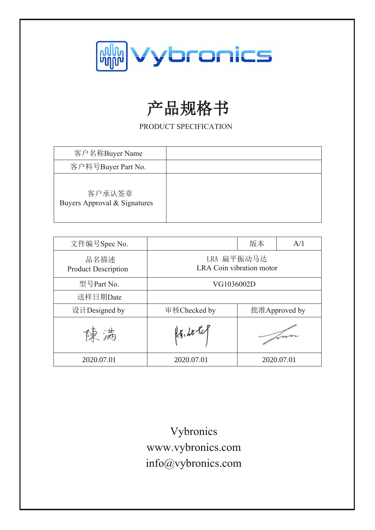

# 产品规格书

PRODUCT SPECIFICATION

| 客户名称Buyer Name                         |  |
|----------------------------------------|--|
| 客户料号Buyer Part No.                     |  |
| 客户承认签章<br>Buyers Approval & Signatures |  |

| 文件编号Spec No.                       |                                        | 版本 | A/1        |
|------------------------------------|----------------------------------------|----|------------|
| 品名描述<br><b>Product Description</b> | LRA 扁平振动马达<br>LRA Coin vibration motor |    |            |
| 型号Part No.                         | VG1036002D                             |    |            |
| 送样日期Date                           |                                        |    |            |
| 设计Designed by                      | 审核Checked by<br>批准Approved by          |    |            |
| 满                                  | $k_{1}, k_{2}$                         |    |            |
| 2020.07.01                         | 2020.07.01                             |    | 2020.07.01 |

www.vybronics.com sales@vybronics.com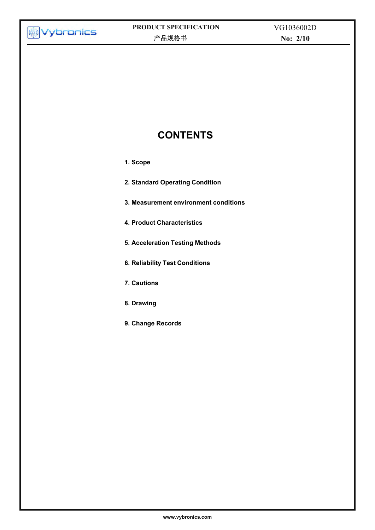# **CONTENTS**

- **1. Scope**
- **2. Standard Operating Condition**
- **3. Measurement environment conditions**
- **4. Product Characteristics**
- **5. Acceleration Testing Methods**
- **6. Reliability Test Conditions**
- **7. Cautions**
- **8. Drawing**
- **9. Change Records**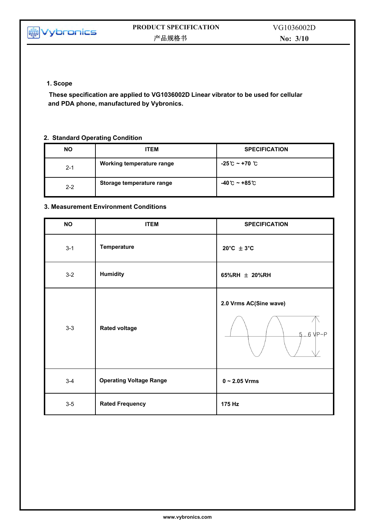

#### **1. Scope**

**These specification are applied to VG1036002D Linear vibrator to be used for cellular and PDA phone, manufactured by Vybronics.**

#### **2. Standard Operating Condition**

| <b>NO</b> | <b>ITEM</b>               | <b>SPECIFICATION</b>                           |
|-----------|---------------------------|------------------------------------------------|
| $2 - 1$   | Working temperature range | $-25^{\circ}\text{C} \sim +70^{\circ}\text{C}$ |
| $2 - 2$   | Storage temperature range | -40 ℃ ~ +85 ℃                                  |

#### **3. Measurement Environment Conditions**

| <b>NO</b> | <b>ITEM</b>                    | <b>SPECIFICATION</b>             |
|-----------|--------------------------------|----------------------------------|
| $3 - 1$   | Temperature                    | $20^{\circ}C \pm 3^{\circ}C$     |
| $3-2$     | Humidity                       | 65%RH ± 20%RH                    |
| $3-3$     | <b>Rated voltage</b>           | 2.0 Vrms AC(Sine wave)<br>6 VP-P |
| $3-4$     | <b>Operating Voltage Range</b> | $0 - 2.05$ Vrms                  |
| $3-5$     | <b>Rated Frequency</b>         | 175 Hz                           |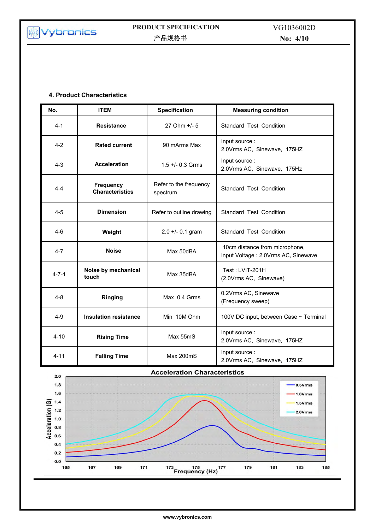

#### **4. Product Characteristics**

| No.         | <b>ITEM</b>                                | <b>Specification</b>               | <b>Measuring condition</b>                                            |  |
|-------------|--------------------------------------------|------------------------------------|-----------------------------------------------------------------------|--|
| $4 - 1$     | <b>Resistance</b>                          | 27 Ohm +/- 5                       | Standard Test Condition                                               |  |
| $4 - 2$     | <b>Rated current</b>                       | 90 mArms Max                       | Input source :<br>2.0Vrms AC, Sinewave, 175HZ                         |  |
| $4 - 3$     | <b>Acceleration</b>                        | $1.5 + 0.3$ Grms                   | Input source :<br>2.0Vrms AC, Sinewave, 175Hz                         |  |
| $4 - 4$     | <b>Frequency</b><br><b>Characteristics</b> | Refer to the frequency<br>spectrum | <b>Standard Test Condition</b>                                        |  |
| $4 - 5$     | <b>Dimension</b>                           | Refer to outline drawing           | <b>Standard Test Condition</b>                                        |  |
| $4-6$       | Weight                                     | $2.0 +/- 0.1$ gram                 | Standard Test Condition                                               |  |
| $4 - 7$     | <b>Noise</b>                               | Max 50dBA                          | 10cm distance from microphone,<br>Input Voltage: 2.0Vrms AC, Sinewave |  |
| $4 - 7 - 1$ | Noise by mechanical<br>touch               | Max 35dBA                          | Test: LVIT-201H<br>(2.0Vrms AC, Sinewave)                             |  |
| $4 - 8$     | <b>Ringing</b>                             | Max 0.4 Grms                       | 0.2Vrms AC, Sinewave<br>(Frequency sweep)                             |  |
| $4 - 9$     | <b>Insulation resistance</b>               | Min 10M Ohm                        | 100V DC input, between Case ~ Terminal                                |  |
| $4 - 10$    | <b>Rising Time</b>                         | Max 55mS                           | Input source :<br>2.0Vrms AC, Sinewave, 175HZ                         |  |
| $4 - 11$    | <b>Falling Time</b>                        | Max 200mS                          | Input source :<br>2.0Vrms AC, Sinewave, 175HZ                         |  |



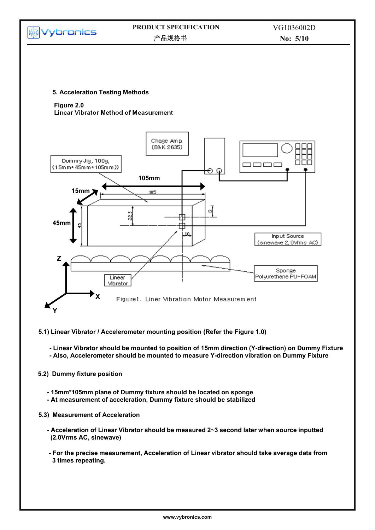

**- Also, Accelerometer should be mounted to measure Y-direction vibration on Dummy Fixture**

#### **5.2) Dummy fixture position**

- **15mm\*105mm plane of Dummy fixture should be located on sponge**
- **At measurement of acceleration, Dummy fixture should be stabilized**
- **5.3) Measurement of Acceleration**
	- **Acceleration of Linear Vibrator should be measured 2~3 second later when source inputted (2.0Vrms AC, sinewave)**
	- **For the precise measurement, Acceleration of Linear vibrator should take average data from 3 times repeating.**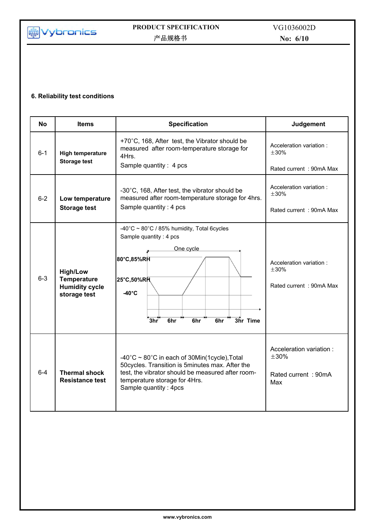

#### **6. Reliability test conditions**

| <b>No</b> | <b>Items</b>                                                            | <b>Specification</b>                                                                                                                                                                                                     | Judgement                                                            |
|-----------|-------------------------------------------------------------------------|--------------------------------------------------------------------------------------------------------------------------------------------------------------------------------------------------------------------------|----------------------------------------------------------------------|
| $6 - 1$   | <b>High temperature</b><br><b>Storage test</b>                          | +70°C, 168, After test, the Vibrator should be<br>measured after room-temperature storage for<br>4Hrs.<br>Sample quantity: 4 pcs                                                                                         | Acceleration variation :<br>$\pm 30\%$<br>Rated current: 90mA Max    |
| $6 - 2$   | Low temperature<br><b>Storage test</b>                                  | -30°C, 168, After test, the vibrator should be<br>measured after room-temperature storage for 4hrs.<br>Sample quantity: 4 pcs                                                                                            | Acceleration variation:<br>$\pm 30\%$<br>Rated current: 90mA Max     |
| $6-3$     | High/Low<br><b>Temperature</b><br><b>Humidity cycle</b><br>storage test | -40°C ~ 80°C / 85% humidity, Total 6cycles<br>Sample quantity : 4 pcs<br>One cycle<br>80°C,85%RH<br>25°C,50%RH<br>$-40^{\circ}$ C<br>3hr Time<br>6hr<br>6hr<br>6hr<br>3hr                                                | Acceleration variation :<br>$\pm 30\%$<br>Rated current: 90mA Max    |
| $6-4$     | <b>Thermal shock</b><br><b>Resistance test</b>                          | $-40^{\circ}$ C ~ 80°C in each of 30Min(1cycle), Total<br>50cycles. Transition is 5minutes max. After the<br>test, the vibrator should be measured after room-<br>temperature storage for 4Hrs.<br>Sample quantity: 4pcs | Acceleration variation :<br>$\pm 30\%$<br>Rated current: 90mA<br>Max |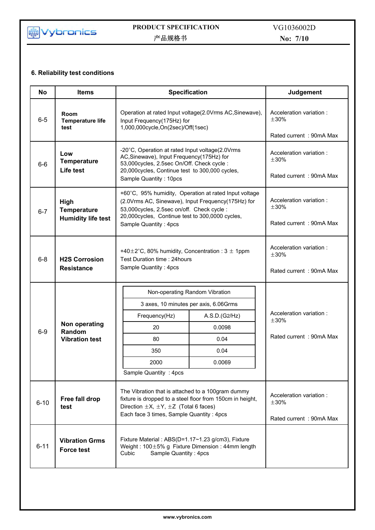

#### **6. Reliability test conditions**

| <b>No</b> | <b>Items</b>                                            | <b>Specification</b>                                                                                                                                                                                                                 | Judgement                                                         |
|-----------|---------------------------------------------------------|--------------------------------------------------------------------------------------------------------------------------------------------------------------------------------------------------------------------------------------|-------------------------------------------------------------------|
| $6-5$     | Room<br><b>Temperature life</b><br>test                 | Operation at rated Input voltage(2.0Vrms AC, Sinewave),<br>Input Frequency(175Hz) for<br>1,000,000cycle,On(2sec)/Off(1sec)                                                                                                           | Acceleration variation:<br>±30%<br>Rated current: 90mA Max        |
| $6-6$     | Low<br><b>Temperature</b><br>Life test                  | -20°C, Operation at rated Input voltage(2.0Vrms<br>AC, Sinewave), Input Frequency(175Hz) for<br>53,000cycles, 2.5sec On/Off. Check cycle:<br>20,000cycles, Continue test to 300,000 cycles,<br>Sample Quantity: 10pcs                | Acceleration variation:<br>$\pm 30\%$<br>Rated current: 90mA Max  |
| $6 - 7$   | High<br><b>Temperature</b><br><b>Humidity life test</b> | +60°C, 95% humidity, Operation at rated Input voltage<br>(2.0Vrms AC, Sinewave), Input Frequency(175Hz) for<br>53,000cycles, 2.5sec on/off. Check cycle:<br>20,000cycles, Continue test to 300,0000 cycles,<br>Sample Quantity: 4pcs | Acceleration variation:<br>±30%<br>Rated current: 90mA Max        |
| $6 - 8$   | <b>H2S Corrosion</b><br><b>Resistance</b>               | +40 $\pm$ 2°C, 80% humidity, Concentration : 3 $\pm$ 1ppm<br>Test Duration time: 24hours<br>Sample Quantity: 4pcs                                                                                                                    | Acceleration variation:<br>$\pm 30\%$<br>Rated current: 90mA Max  |
| $6-9$     | Non operating<br><b>Random</b><br><b>Vibration test</b> | Non-operating Random Vibration<br>3 axes, 10 minutes per axis, 6.06Grms<br>Frequency(Hz)<br>20<br>80<br>350<br>2000<br>Sample Quantity: 4pcs                                                                                         | Acceleration variation :<br>$\pm 30\%$<br>Rated current: 90mA Max |
| $6 - 10$  | Free fall drop<br>test                                  | The Vibration that is attached to a 100gram dummy<br>fixture is dropped to a steel floor from 150cm in height,<br>Direction $\pm X$ , $\pm Y$ , $\pm Z$ (Total 6 faces)<br>Each face 3 times, Sample Quantity: 4pcs                  | Acceleration variation:<br>$\pm 30\%$<br>Rated current: 90mA Max  |
| $6 - 11$  | <b>Vibration Grms</b><br><b>Force test</b>              | Fixture Material: ABS(D=1.17~1.23 g/cm3), Fixture<br>Weight: $100 \pm 5\%$ g Fixture Dimension: 44mm length<br>Sample Quantity: 4pcs<br>Cubic                                                                                        |                                                                   |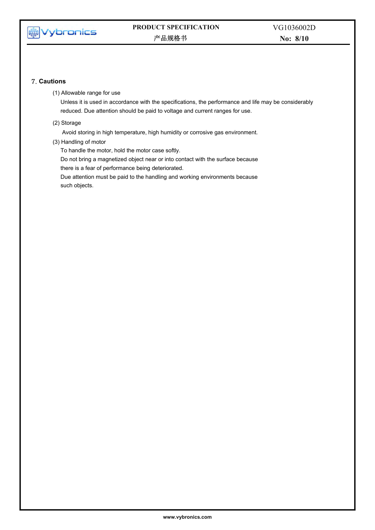

#### 7. **Cautions**

(1) Allowable range for use

Unless it is used in accordance with the specifications, the performance and life may be considerably reduced. Due attention should be paid to voltage and current ranges for use.

(2) Storage

Avoid storing in high temperature, high humidity or corrosive gas environment.

(3) Handling of motor

To handle the motor, hold the motor case softly.

Do not bring a magnetized object near or into contact with the surface because there is a fear of performance being deteriorated.

Due attention must be paid to the handling and working environments because such objects.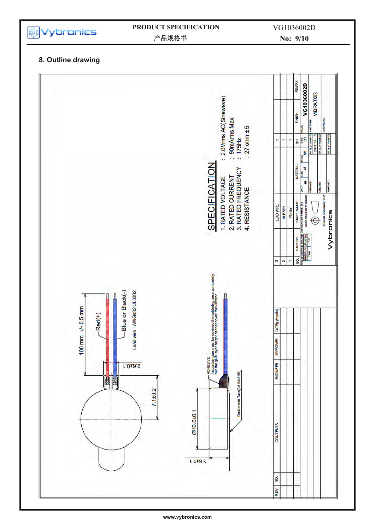

**PRODUCT SPECIFICATION** 

# VG1036002D